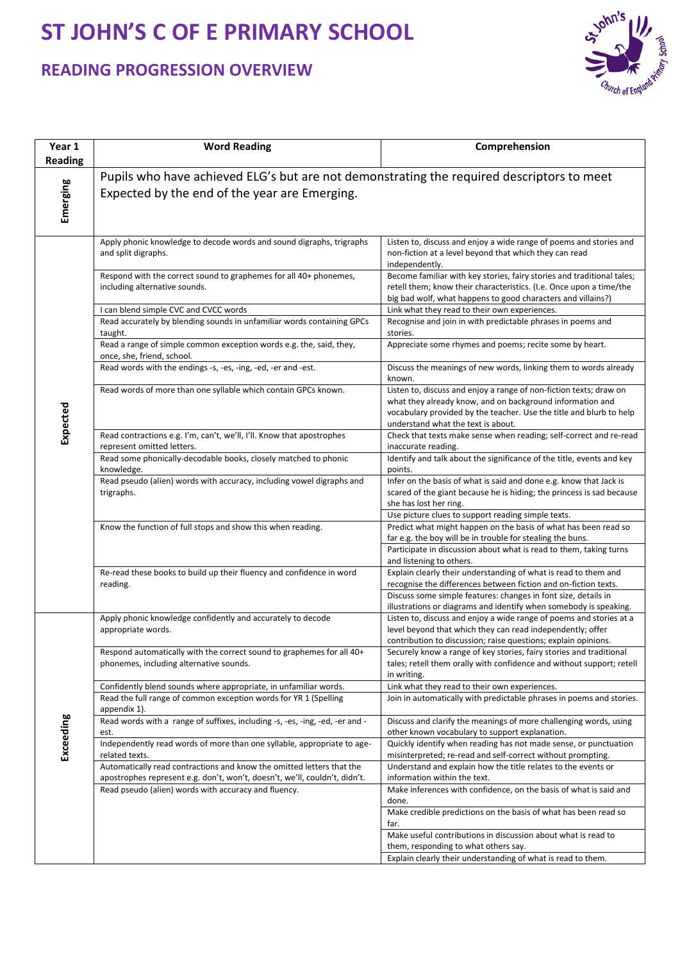## **ST JOHN'S C OF E PRIMARY SCHOOL**

## **READING PROGRESSION OVERVIEW**



| Year 1         | <b>Word Reading</b>                                                                                                                                 | Comprehension                                                                                                                                                                                                                                |  |
|----------------|-----------------------------------------------------------------------------------------------------------------------------------------------------|----------------------------------------------------------------------------------------------------------------------------------------------------------------------------------------------------------------------------------------------|--|
| <b>Reading</b> |                                                                                                                                                     |                                                                                                                                                                                                                                              |  |
|                | Pupils who have achieved ELG's but are not demonstrating the required descriptors to meet                                                           |                                                                                                                                                                                                                                              |  |
| Emerging       | Expected by the end of the year are Emerging.                                                                                                       |                                                                                                                                                                                                                                              |  |
|                | Apply phonic knowledge to decode words and sound digraphs, trigraphs<br>and split digraphs.                                                         | Listen to, discuss and enjoy a wide range of poems and stories and<br>non-fiction at a level beyond that which they can read<br>independently.                                                                                               |  |
|                | Respond with the correct sound to graphemes for all 40+ phonemes,<br>including alternative sounds.                                                  | Become familiar with key stories, fairy stories and traditional tales;<br>retell them; know their characteristics. (I.e. Once upon a time/the<br>big bad wolf, what happens to good characters and villains?)                                |  |
|                | I can blend simple CVC and CVCC words                                                                                                               | Link what they read to their own experiences.                                                                                                                                                                                                |  |
|                | Read accurately by blending sounds in unfamiliar words containing GPCs<br>taught.                                                                   | Recognise and join in with predictable phrases in poems and<br>stories.                                                                                                                                                                      |  |
|                | Read a range of simple common exception words e.g. the, said, they,<br>once, she, friend, school.                                                   | Appreciate some rhymes and poems; recite some by heart.                                                                                                                                                                                      |  |
|                | Read words with the endings -s, -es, -ing, -ed, -er and -est.                                                                                       | Discuss the meanings of new words, linking them to words already<br>known.                                                                                                                                                                   |  |
| Expected       | Read words of more than one syllable which contain GPCs known.                                                                                      | Listen to, discuss and enjoy a range of non-fiction texts; draw on<br>what they already know, and on background information and<br>vocabulary provided by the teacher. Use the title and blurb to help<br>understand what the text is about. |  |
|                | Read contractions e.g. I'm, can't, we'll, I'll. Know that apostrophes<br>represent omitted letters.                                                 | Check that texts make sense when reading; self-correct and re-read<br>inaccurate reading.                                                                                                                                                    |  |
|                | Read some phonically-decodable books, closely matched to phonic<br>knowledge.                                                                       | Identify and talk about the significance of the title, events and key<br>points.                                                                                                                                                             |  |
|                | Read pseudo (alien) words with accuracy, including vowel digraphs and<br>trigraphs.                                                                 | Infer on the basis of what is said and done e.g. know that Jack is<br>scared of the giant because he is hiding; the princess is sad because<br>she has lost her ring.                                                                        |  |
|                | Know the function of full stops and show this when reading.                                                                                         | Use picture clues to support reading simple texts.<br>Predict what might happen on the basis of what has been read so                                                                                                                        |  |
|                |                                                                                                                                                     | far e.g. the boy will be in trouble for stealing the buns.                                                                                                                                                                                   |  |
|                |                                                                                                                                                     | Participate in discussion about what is read to them, taking turns<br>and listening to others.                                                                                                                                               |  |
|                | Re-read these books to build up their fluency and confidence in word                                                                                | Explain clearly their understanding of what is read to them and                                                                                                                                                                              |  |
|                | reading.                                                                                                                                            | recognise the differences between fiction and on-fiction texts.<br>Discuss some simple features: changes in font size, details in                                                                                                            |  |
|                |                                                                                                                                                     | illustrations or diagrams and identify when somebody is speaking.                                                                                                                                                                            |  |
|                | Apply phonic knowledge confidently and accurately to decode                                                                                         | Listen to, discuss and enjoy a wide range of poems and stories at a                                                                                                                                                                          |  |
|                | appropriate words.                                                                                                                                  | level beyond that which they can read independently; offer<br>contribution to discussion; raise questions; explain opinions.                                                                                                                 |  |
|                | Respond automatically with the correct sound to graphemes for all 40+<br>phonemes, including alternative sounds.                                    | Securely know a range of key stories, fairy stories and traditional<br>tales; retell them orally with confidence and without support; retell<br>in writing.                                                                                  |  |
|                | Confidently blend sounds where appropriate, in unfamiliar words.                                                                                    | Link what they read to their own experiences.                                                                                                                                                                                                |  |
|                | Read the full range of common exception words for YR 1 (Spelling<br>appendix 1).                                                                    | Join in automatically with predictable phrases in poems and stories.                                                                                                                                                                         |  |
|                | Read words with a range of suffixes, including -s, -es, -ing, -ed, -er and -<br>est.                                                                | Discuss and clarify the meanings of more challenging words, using<br>other known vocabulary to support explanation.                                                                                                                          |  |
| Exceeding      | Independently read words of more than one syllable, appropriate to age-<br>related texts.                                                           | Quickly identify when reading has not made sense, or punctuation<br>misinterpreted; re-read and self-correct without prompting.                                                                                                              |  |
|                | Automatically read contractions and know the omitted letters that the<br>apostrophes represent e.g. don't, won't, doesn't, we'll, couldn't, didn't. | Understand and explain how the title relates to the events or<br>information within the text.                                                                                                                                                |  |
|                | Read pseudo (alien) words with accuracy and fluency.                                                                                                | Make inferences with confidence, on the basis of what is said and<br>done.                                                                                                                                                                   |  |
|                |                                                                                                                                                     | Make credible predictions on the basis of what has been read so<br>far.                                                                                                                                                                      |  |
|                |                                                                                                                                                     | Make useful contributions in discussion about what is read to<br>them, responding to what others say.                                                                                                                                        |  |
|                |                                                                                                                                                     | Explain clearly their understanding of what is read to them.                                                                                                                                                                                 |  |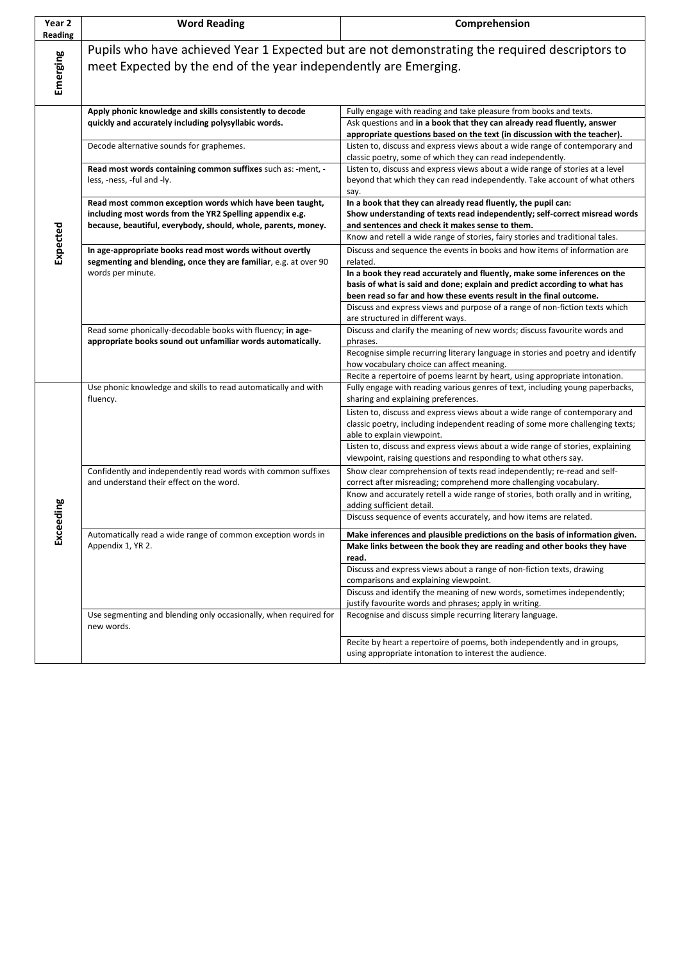| Year 2<br>Reading | <b>Word Reading</b>                                                                                                                                                                   | Comprehension                                                                                                                                                                                                               |
|-------------------|---------------------------------------------------------------------------------------------------------------------------------------------------------------------------------------|-----------------------------------------------------------------------------------------------------------------------------------------------------------------------------------------------------------------------------|
| Emerging          | Pupils who have achieved Year 1 Expected but are not demonstrating the required descriptors to<br>meet Expected by the end of the year independently are Emerging.                    |                                                                                                                                                                                                                             |
| Expected          | Apply phonic knowledge and skills consistently to decode                                                                                                                              | Fully engage with reading and take pleasure from books and texts.                                                                                                                                                           |
|                   | quickly and accurately including polysyllabic words.                                                                                                                                  | Ask questions and in a book that they can already read fluently, answer<br>appropriate questions based on the text (in discussion with the teacher).                                                                        |
|                   | Decode alternative sounds for graphemes.                                                                                                                                              | Listen to, discuss and express views about a wide range of contemporary and<br>classic poetry, some of which they can read independently.                                                                                   |
|                   | Read most words containing common suffixes such as: - ment, -<br>less, -ness, -ful and -ly.                                                                                           | Listen to, discuss and express views about a wide range of stories at a level<br>beyond that which they can read independently. Take account of what others<br>say.                                                         |
|                   | Read most common exception words which have been taught,<br>including most words from the YR2 Spelling appendix e.g.<br>because, beautiful, everybody, should, whole, parents, money. | In a book that they can already read fluently, the pupil can:<br>Show understanding of texts read independently; self-correct misread words<br>and sentences and check it makes sense to them.                              |
|                   |                                                                                                                                                                                       | Know and retell a wide range of stories, fairy stories and traditional tales.                                                                                                                                               |
|                   | In age-appropriate books read most words without overtly<br>segmenting and blending, once they are familiar, e.g. at over 90<br>words per minute.                                     | Discuss and sequence the events in books and how items of information are<br>related.                                                                                                                                       |
|                   |                                                                                                                                                                                       | In a book they read accurately and fluently, make some inferences on the<br>basis of what is said and done; explain and predict according to what has<br>been read so far and how these events result in the final outcome. |
|                   |                                                                                                                                                                                       | Discuss and express views and purpose of a range of non-fiction texts which<br>are structured in different ways.                                                                                                            |
|                   | Read some phonically-decodable books with fluency; in age-                                                                                                                            | Discuss and clarify the meaning of new words; discuss favourite words and                                                                                                                                                   |
|                   | appropriate books sound out unfamiliar words automatically.                                                                                                                           | phrases.<br>Recognise simple recurring literary language in stories and poetry and identify                                                                                                                                 |
|                   |                                                                                                                                                                                       | how vocabulary choice can affect meaning.                                                                                                                                                                                   |
|                   |                                                                                                                                                                                       | Recite a repertoire of poems learnt by heart, using appropriate intonation.                                                                                                                                                 |
|                   | Use phonic knowledge and skills to read automatically and with<br>fluency.                                                                                                            | Fully engage with reading various genres of text, including young paperbacks,<br>sharing and explaining preferences.                                                                                                        |
|                   |                                                                                                                                                                                       | Listen to, discuss and express views about a wide range of contemporary and<br>classic poetry, including independent reading of some more challenging texts;<br>able to explain viewpoint.                                  |
|                   |                                                                                                                                                                                       | Listen to, discuss and express views about a wide range of stories, explaining<br>viewpoint, raising questions and responding to what others say.                                                                           |
|                   | Confidently and independently read words with common suffixes<br>and understand their effect on the word.                                                                             | Show clear comprehension of texts read independently; re-read and self-<br>correct after misreading; comprehend more challenging vocabulary.                                                                                |
|                   |                                                                                                                                                                                       | Know and accurately retell a wide range of stories, both orally and in writing,<br>adding sufficient detail.                                                                                                                |
| Exceeding         |                                                                                                                                                                                       | Discuss sequence of events accurately, and how items are related.                                                                                                                                                           |
|                   | Automatically read a wide range of common exception words in                                                                                                                          | Make inferences and plausible predictions on the basis of information given.                                                                                                                                                |
|                   | Appendix 1, YR 2.                                                                                                                                                                     | Make links between the book they are reading and other books they have<br>read.                                                                                                                                             |
|                   |                                                                                                                                                                                       | Discuss and express views about a range of non-fiction texts, drawing<br>comparisons and explaining viewpoint.                                                                                                              |
|                   |                                                                                                                                                                                       | Discuss and identify the meaning of new words, sometimes independently;<br>justify favourite words and phrases; apply in writing.                                                                                           |
|                   | Use segmenting and blending only occasionally, when required for<br>new words.                                                                                                        | Recognise and discuss simple recurring literary language.                                                                                                                                                                   |
|                   |                                                                                                                                                                                       | Recite by heart a repertoire of poems, both independently and in groups,<br>using appropriate intonation to interest the audience.                                                                                          |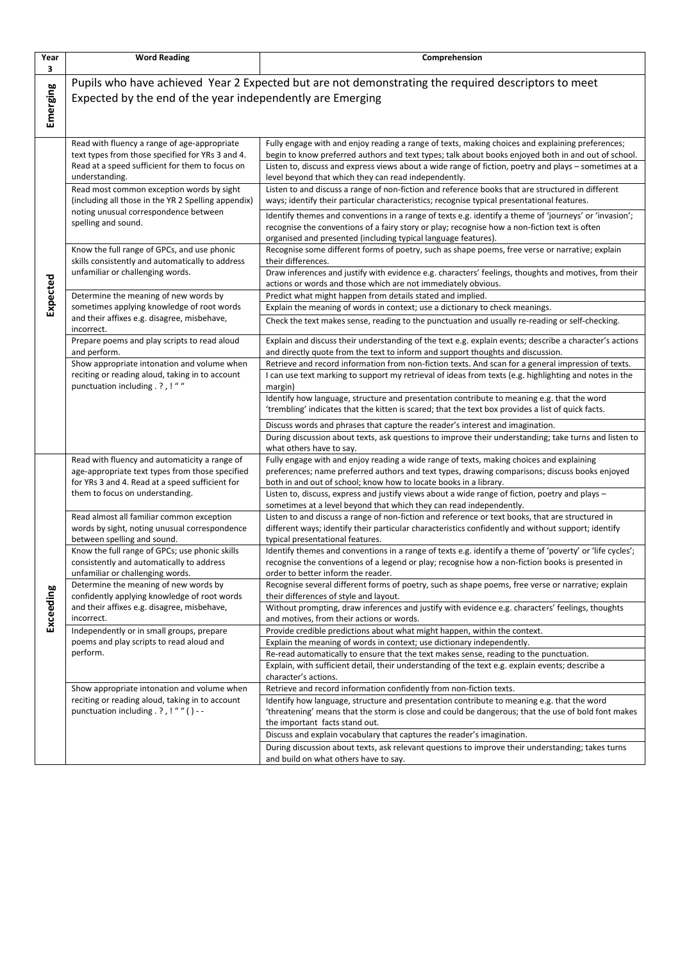| Year<br>3 | <b>Word Reading</b>                                                                                                                                                                                                | Comprehension                                                                                                                                                                                                                                                                                                                                                                                                                                                                 |
|-----------|--------------------------------------------------------------------------------------------------------------------------------------------------------------------------------------------------------------------|-------------------------------------------------------------------------------------------------------------------------------------------------------------------------------------------------------------------------------------------------------------------------------------------------------------------------------------------------------------------------------------------------------------------------------------------------------------------------------|
| Emerging  | Pupils who have achieved Year 2 Expected but are not demonstrating the required descriptors to meet<br>Expected by the end of the year independently are Emerging                                                  |                                                                                                                                                                                                                                                                                                                                                                                                                                                                               |
| Expected  | Read with fluency a range of age-appropriate<br>text types from those specified for YRs 3 and 4.<br>Read at a speed sufficient for them to focus on<br>understanding.<br>Read most common exception words by sight | Fully engage with and enjoy reading a range of texts, making choices and explaining preferences;<br>begin to know preferred authors and text types; talk about books enjoyed both in and out of school.<br>Listen to, discuss and express views about a wide range of fiction, poetry and plays - sometimes at a<br>level beyond that which they can read independently.<br>Listen to and discuss a range of non-fiction and reference books that are structured in different |
|           | (including all those in the YR 2 Spelling appendix)<br>noting unusual correspondence between<br>spelling and sound.                                                                                                | ways; identify their particular characteristics; recognise typical presentational features.<br>Identify themes and conventions in a range of texts e.g. identify a theme of 'journeys' or 'invasion';<br>recognise the conventions of a fairy story or play; recognise how a non-fiction text is often<br>organised and presented (including typical language features).                                                                                                      |
|           | Know the full range of GPCs, and use phonic<br>skills consistently and automatically to address<br>unfamiliar or challenging words.                                                                                | Recognise some different forms of poetry, such as shape poems, free verse or narrative; explain<br>their differences.<br>Draw inferences and justify with evidence e.g. characters' feelings, thoughts and motives, from their<br>actions or words and those which are not immediately obvious.                                                                                                                                                                               |
|           | Determine the meaning of new words by<br>sometimes applying knowledge of root words<br>and their affixes e.g. disagree, misbehave,<br>incorrect.                                                                   | Predict what might happen from details stated and implied.<br>Explain the meaning of words in context; use a dictionary to check meanings.<br>Check the text makes sense, reading to the punctuation and usually re-reading or self-checking.                                                                                                                                                                                                                                 |
|           | Prepare poems and play scripts to read aloud<br>and perform.<br>Show appropriate intonation and volume when<br>reciting or reading aloud, taking in to account<br>punctuation including . ? , ! " "                | Explain and discuss their understanding of the text e.g. explain events; describe a character's actions<br>and directly quote from the text to inform and support thoughts and discussion.<br>Retrieve and record information from non-fiction texts. And scan for a general impression of texts.<br>I can use text marking to support my retrieval of ideas from texts (e.g. highlighting and notes in the<br>margin)                                                        |
|           |                                                                                                                                                                                                                    | Identify how language, structure and presentation contribute to meaning e.g. that the word<br>'trembling' indicates that the kitten is scared; that the text box provides a list of quick facts.<br>Discuss words and phrases that capture the reader's interest and imagination.<br>During discussion about texts, ask questions to improve their understanding; take turns and listen to<br>what others have to say.                                                        |
| Exceeding | Read with fluency and automaticity a range of<br>age-appropriate text types from those specified<br>for YRs 3 and 4. Read at a speed sufficient for<br>them to focus on understanding.                             | Fully engage with and enjoy reading a wide range of texts, making choices and explaining<br>preferences; name preferred authors and text types, drawing comparisons; discuss books enjoyed<br>both in and out of school; know how to locate books in a library.<br>Listen to, discuss, express and justify views about a wide range of fiction, poetry and plays -                                                                                                            |
|           | Read almost all familiar common exception<br>words by sight, noting unusual correspondence<br>between spelling and sound.                                                                                          | sometimes at a level beyond that which they can read independently.<br>Listen to and discuss a range of non-fiction and reference or text books, that are structured in<br>different ways; identify their particular characteristics confidently and without support; identify<br>typical presentational features.                                                                                                                                                            |
|           | Know the full range of GPCs; use phonic skills<br>consistently and automatically to address<br>unfamiliar or challenging words.<br>Determine the meaning of new words by                                           | Identify themes and conventions in a range of texts e.g. identify a theme of 'poverty' or 'life cycles';<br>recognise the conventions of a legend or play; recognise how a non-fiction books is presented in<br>order to better inform the reader.<br>Recognise several different forms of poetry, such as shape poems, free verse or narrative; explain                                                                                                                      |
|           | confidently applying knowledge of root words<br>and their affixes e.g. disagree, misbehave,<br>incorrect.                                                                                                          | their differences of style and layout.<br>Without prompting, draw inferences and justify with evidence e.g. characters' feelings, thoughts<br>and motives, from their actions or words.                                                                                                                                                                                                                                                                                       |
|           | Independently or in small groups, prepare<br>poems and play scripts to read aloud and<br>perform.                                                                                                                  | Provide credible predictions about what might happen, within the context.<br>Explain the meaning of words in context; use dictionary independently.<br>Re-read automatically to ensure that the text makes sense, reading to the punctuation.<br>Explain, with sufficient detail, their understanding of the text e.g. explain events; describe a<br>character's actions.                                                                                                     |
|           | Show appropriate intonation and volume when<br>reciting or reading aloud, taking in to account<br>punctuation including . ? , ! " " ( ) - -                                                                        | Retrieve and record information confidently from non-fiction texts.<br>Identify how language, structure and presentation contribute to meaning e.g. that the word<br>'threatening' means that the storm is close and could be dangerous; that the use of bold font makes<br>the important facts stand out.                                                                                                                                                                    |
|           |                                                                                                                                                                                                                    | Discuss and explain vocabulary that captures the reader's imagination.<br>During discussion about texts, ask relevant questions to improve their understanding; takes turns<br>and build on what others have to say.                                                                                                                                                                                                                                                          |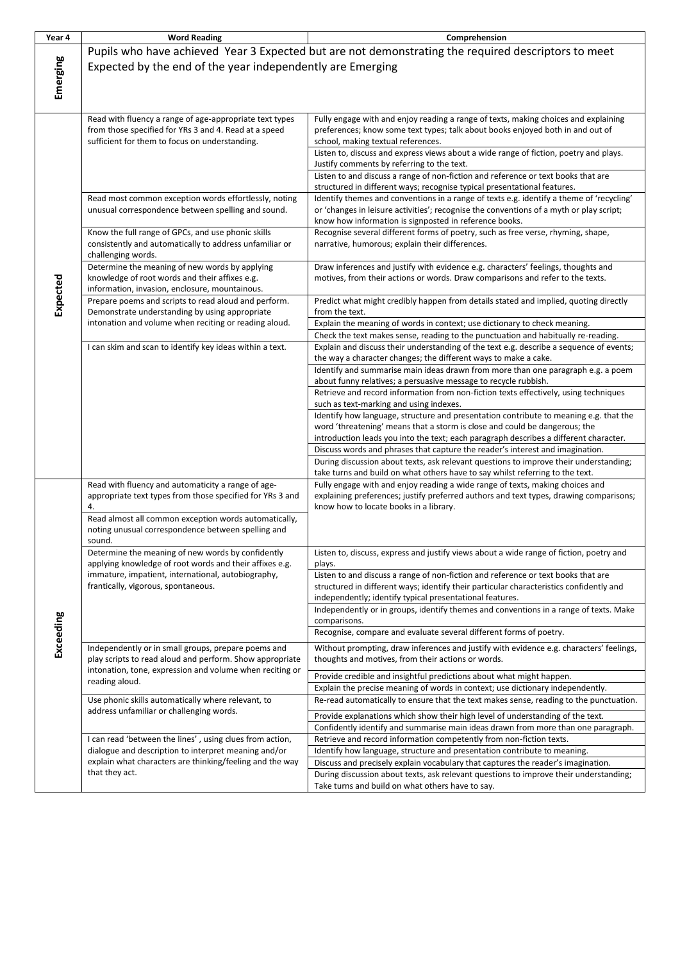| Year 4    | <b>Word Reading</b>                                                                                                                    | Comprehension                                                                                                                                                       |
|-----------|----------------------------------------------------------------------------------------------------------------------------------------|---------------------------------------------------------------------------------------------------------------------------------------------------------------------|
|           |                                                                                                                                        | Pupils who have achieved Year 3 Expected but are not demonstrating the required descriptors to meet                                                                 |
| Emerging  |                                                                                                                                        |                                                                                                                                                                     |
|           | Expected by the end of the year independently are Emerging                                                                             |                                                                                                                                                                     |
|           |                                                                                                                                        |                                                                                                                                                                     |
|           |                                                                                                                                        |                                                                                                                                                                     |
|           |                                                                                                                                        |                                                                                                                                                                     |
|           | Read with fluency a range of age-appropriate text types                                                                                | Fully engage with and enjoy reading a range of texts, making choices and explaining                                                                                 |
|           | from those specified for YRs 3 and 4. Read at a speed<br>sufficient for them to focus on understanding.                                | preferences; know some text types; talk about books enjoyed both in and out of                                                                                      |
|           |                                                                                                                                        | school, making textual references.<br>Listen to, discuss and express views about a wide range of fiction, poetry and plays.                                         |
|           |                                                                                                                                        | Justify comments by referring to the text.                                                                                                                          |
|           |                                                                                                                                        | Listen to and discuss a range of non-fiction and reference or text books that are                                                                                   |
|           |                                                                                                                                        | structured in different ways; recognise typical presentational features.                                                                                            |
|           | Read most common exception words effortlessly, noting                                                                                  | Identify themes and conventions in a range of texts e.g. identify a theme of 'recycling'                                                                            |
|           | unusual correspondence between spelling and sound.                                                                                     | or 'changes in leisure activities'; recognise the conventions of a myth or play script;                                                                             |
|           |                                                                                                                                        | know how information is signposted in reference books.                                                                                                              |
|           | Know the full range of GPCs, and use phonic skills                                                                                     | Recognise several different forms of poetry, such as free verse, rhyming, shape,                                                                                    |
|           | consistently and automatically to address unfamiliar or                                                                                | narrative, humorous; explain their differences.                                                                                                                     |
|           | challenging words.                                                                                                                     |                                                                                                                                                                     |
|           | Determine the meaning of new words by applying                                                                                         | Draw inferences and justify with evidence e.g. characters' feelings, thoughts and<br>motives, from their actions or words. Draw comparisons and refer to the texts. |
|           | knowledge of root words and their affixes e.g.<br>information, invasion, enclosure, mountainous.                                       |                                                                                                                                                                     |
|           | Prepare poems and scripts to read aloud and perform.                                                                                   | Predict what might credibly happen from details stated and implied, quoting directly                                                                                |
| Expected  | Demonstrate understanding by using appropriate                                                                                         | from the text.                                                                                                                                                      |
|           | intonation and volume when reciting or reading aloud.                                                                                  | Explain the meaning of words in context; use dictionary to check meaning.                                                                                           |
|           |                                                                                                                                        | Check the text makes sense, reading to the punctuation and habitually re-reading.                                                                                   |
|           | I can skim and scan to identify key ideas within a text.                                                                               | Explain and discuss their understanding of the text e.g. describe a sequence of events;                                                                             |
|           |                                                                                                                                        | the way a character changes; the different ways to make a cake.                                                                                                     |
|           |                                                                                                                                        | Identify and summarise main ideas drawn from more than one paragraph e.g. a poem                                                                                    |
|           |                                                                                                                                        | about funny relatives; a persuasive message to recycle rubbish.                                                                                                     |
|           |                                                                                                                                        | Retrieve and record information from non-fiction texts effectively, using techniques                                                                                |
|           |                                                                                                                                        | such as text-marking and using indexes.                                                                                                                             |
|           |                                                                                                                                        | Identify how language, structure and presentation contribute to meaning e.g. that the                                                                               |
|           |                                                                                                                                        | word 'threatening' means that a storm is close and could be dangerous; the<br>introduction leads you into the text; each paragraph describes a different character. |
|           |                                                                                                                                        | Discuss words and phrases that capture the reader's interest and imagination.                                                                                       |
|           |                                                                                                                                        | During discussion about texts, ask relevant questions to improve their understanding;                                                                               |
|           |                                                                                                                                        | take turns and build on what others have to say whilst referring to the text.                                                                                       |
|           | Read with fluency and automaticity a range of age-                                                                                     | Fully engage with and enjoy reading a wide range of texts, making choices and                                                                                       |
|           | appropriate text types from those specified for YRs 3 and                                                                              | explaining preferences; justify preferred authors and text types, drawing comparisons;                                                                              |
|           | 4.                                                                                                                                     | know how to locate books in a library.                                                                                                                              |
|           | Read almost all common exception words automatically,                                                                                  |                                                                                                                                                                     |
|           | noting unusual correspondence between spelling and                                                                                     |                                                                                                                                                                     |
|           | sound.                                                                                                                                 |                                                                                                                                                                     |
|           | Determine the meaning of new words by confidently<br>applying knowledge of root words and their affixes e.g.                           | Listen to, discuss, express and justify views about a wide range of fiction, poetry and                                                                             |
|           | immature, impatient, international, autobiography,                                                                                     | plays.<br>Listen to and discuss a range of non-fiction and reference or text books that are                                                                         |
|           | frantically, vigorous, spontaneous.                                                                                                    | structured in different ways; identify their particular characteristics confidently and                                                                             |
|           |                                                                                                                                        | independently; identify typical presentational features.                                                                                                            |
|           |                                                                                                                                        | Independently or in groups, identify themes and conventions in a range of texts. Make                                                                               |
|           |                                                                                                                                        | comparisons.                                                                                                                                                        |
| Exceeding |                                                                                                                                        | Recognise, compare and evaluate several different forms of poetry.                                                                                                  |
|           | Independently or in small groups, prepare poems and                                                                                    | Without prompting, draw inferences and justify with evidence e.g. characters' feelings,                                                                             |
|           | play scripts to read aloud and perform. Show appropriate<br>intonation, tone, expression and volume when reciting or<br>reading aloud. | thoughts and motives, from their actions or words.                                                                                                                  |
|           |                                                                                                                                        |                                                                                                                                                                     |
|           |                                                                                                                                        | Provide credible and insightful predictions about what might happen.<br>Explain the precise meaning of words in context; use dictionary independently.              |
|           | Use phonic skills automatically where relevant, to<br>address unfamiliar or challenging words.                                         | Re-read automatically to ensure that the text makes sense, reading to the punctuation.                                                                              |
|           |                                                                                                                                        |                                                                                                                                                                     |
|           |                                                                                                                                        | Provide explanations which show their high level of understanding of the text.                                                                                      |
|           | I can read 'between the lines', using clues from action,                                                                               | Confidently identify and summarise main ideas drawn from more than one paragraph.<br>Retrieve and record information competently from non-fiction texts.            |
|           | dialogue and description to interpret meaning and/or                                                                                   | Identify how language, structure and presentation contribute to meaning.                                                                                            |
|           | explain what characters are thinking/feeling and the way                                                                               | Discuss and precisely explain vocabulary that captures the reader's imagination.                                                                                    |
|           | that they act.                                                                                                                         | During discussion about texts, ask relevant questions to improve their understanding;                                                                               |
|           |                                                                                                                                        | Take turns and build on what others have to say.                                                                                                                    |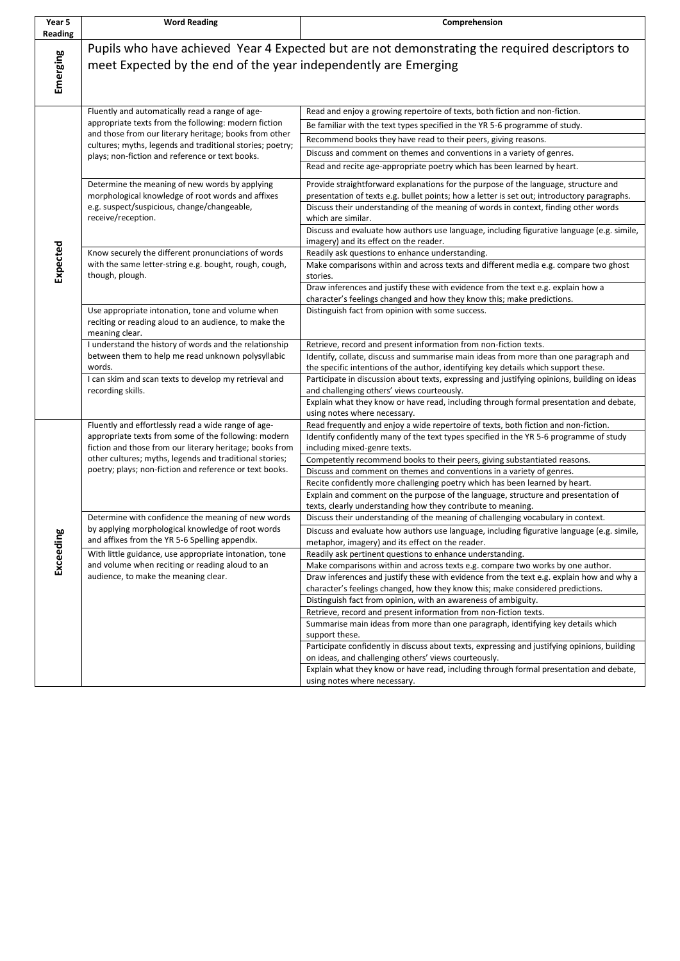| Year 5<br>Reading | <b>Word Reading</b>                                                                                                                                                                                                                                                               | Comprehension                                                                                                                                                                                                                                                                                                                                                                                                                                                                              |
|-------------------|-----------------------------------------------------------------------------------------------------------------------------------------------------------------------------------------------------------------------------------------------------------------------------------|--------------------------------------------------------------------------------------------------------------------------------------------------------------------------------------------------------------------------------------------------------------------------------------------------------------------------------------------------------------------------------------------------------------------------------------------------------------------------------------------|
| Emerging          | Pupils who have achieved Year 4 Expected but are not demonstrating the required descriptors to<br>meet Expected by the end of the year independently are Emerging                                                                                                                 |                                                                                                                                                                                                                                                                                                                                                                                                                                                                                            |
| Expected          | Fluently and automatically read a range of age-<br>appropriate texts from the following: modern fiction<br>and those from our literary heritage; books from other<br>cultures; myths, legends and traditional stories; poetry;<br>plays; non-fiction and reference or text books. | Read and enjoy a growing repertoire of texts, both fiction and non-fiction.<br>Be familiar with the text types specified in the YR 5-6 programme of study.<br>Recommend books they have read to their peers, giving reasons.<br>Discuss and comment on themes and conventions in a variety of genres.<br>Read and recite age-appropriate poetry which has been learned by heart.                                                                                                           |
|                   | Determine the meaning of new words by applying<br>morphological knowledge of root words and affixes<br>e.g. suspect/suspicious, change/changeable,<br>receive/reception.                                                                                                          | Provide straightforward explanations for the purpose of the language, structure and<br>presentation of texts e.g. bullet points; how a letter is set out; introductory paragraphs.<br>Discuss their understanding of the meaning of words in context, finding other words<br>which are similar.<br>Discuss and evaluate how authors use language, including figurative language (e.g. simile,                                                                                              |
|                   | Know securely the different pronunciations of words<br>with the same letter-string e.g. bought, rough, cough,<br>though, plough.                                                                                                                                                  | imagery) and its effect on the reader.<br>Readily ask questions to enhance understanding.<br>Make comparisons within and across texts and different media e.g. compare two ghost<br>stories.<br>Draw inferences and justify these with evidence from the text e.g. explain how a                                                                                                                                                                                                           |
|                   | Use appropriate intonation, tone and volume when<br>reciting or reading aloud to an audience, to make the<br>meaning clear.                                                                                                                                                       | character's feelings changed and how they know this; make predictions.<br>Distinguish fact from opinion with some success.                                                                                                                                                                                                                                                                                                                                                                 |
|                   | I understand the history of words and the relationship<br>between them to help me read unknown polysyllabic<br>words.                                                                                                                                                             | Retrieve, record and present information from non-fiction texts.<br>Identify, collate, discuss and summarise main ideas from more than one paragraph and<br>the specific intentions of the author, identifying key details which support these.                                                                                                                                                                                                                                            |
|                   | I can skim and scan texts to develop my retrieval and<br>recording skills.                                                                                                                                                                                                        | Participate in discussion about texts, expressing and justifying opinions, building on ideas<br>and challenging others' views courteously.<br>Explain what they know or have read, including through formal presentation and debate,<br>using notes where necessary.                                                                                                                                                                                                                       |
| Exceeding         | Fluently and effortlessly read a wide range of age-<br>appropriate texts from some of the following: modern<br>fiction and those from our literary heritage; books from                                                                                                           | Read frequently and enjoy a wide repertoire of texts, both fiction and non-fiction.<br>Identify confidently many of the text types specified in the YR 5-6 programme of study<br>including mixed-genre texts.                                                                                                                                                                                                                                                                              |
|                   | other cultures; myths, legends and traditional stories;<br>poetry; plays; non-fiction and reference or text books.                                                                                                                                                                | Competently recommend books to their peers, giving substantiated reasons.<br>Discuss and comment on themes and conventions in a variety of genres.<br>Recite confidently more challenging poetry which has been learned by heart.<br>Explain and comment on the purpose of the language, structure and presentation of<br>texts, clearly understanding how they contribute to meaning.                                                                                                     |
|                   | Determine with confidence the meaning of new words<br>by applying morphological knowledge of root words<br>and affixes from the YR 5-6 Spelling appendix.                                                                                                                         | Discuss their understanding of the meaning of challenging vocabulary in context.<br>Discuss and evaluate how authors use language, including figurative language (e.g. simile,<br>metaphor, imagery) and its effect on the reader.                                                                                                                                                                                                                                                         |
|                   | With little guidance, use appropriate intonation, tone<br>and volume when reciting or reading aloud to an<br>audience, to make the meaning clear.                                                                                                                                 | Readily ask pertinent questions to enhance understanding.<br>Make comparisons within and across texts e.g. compare two works by one author.<br>Draw inferences and justify these with evidence from the text e.g. explain how and why a<br>character's feelings changed, how they know this; make considered predictions.                                                                                                                                                                  |
|                   |                                                                                                                                                                                                                                                                                   | Distinguish fact from opinion, with an awareness of ambiguity.<br>Retrieve, record and present information from non-fiction texts.<br>Summarise main ideas from more than one paragraph, identifying key details which<br>support these.<br>Participate confidently in discuss about texts, expressing and justifying opinions, building<br>on ideas, and challenging others' views courteously.<br>Explain what they know or have read, including through formal presentation and debate, |
|                   |                                                                                                                                                                                                                                                                                   | using notes where necessary.                                                                                                                                                                                                                                                                                                                                                                                                                                                               |